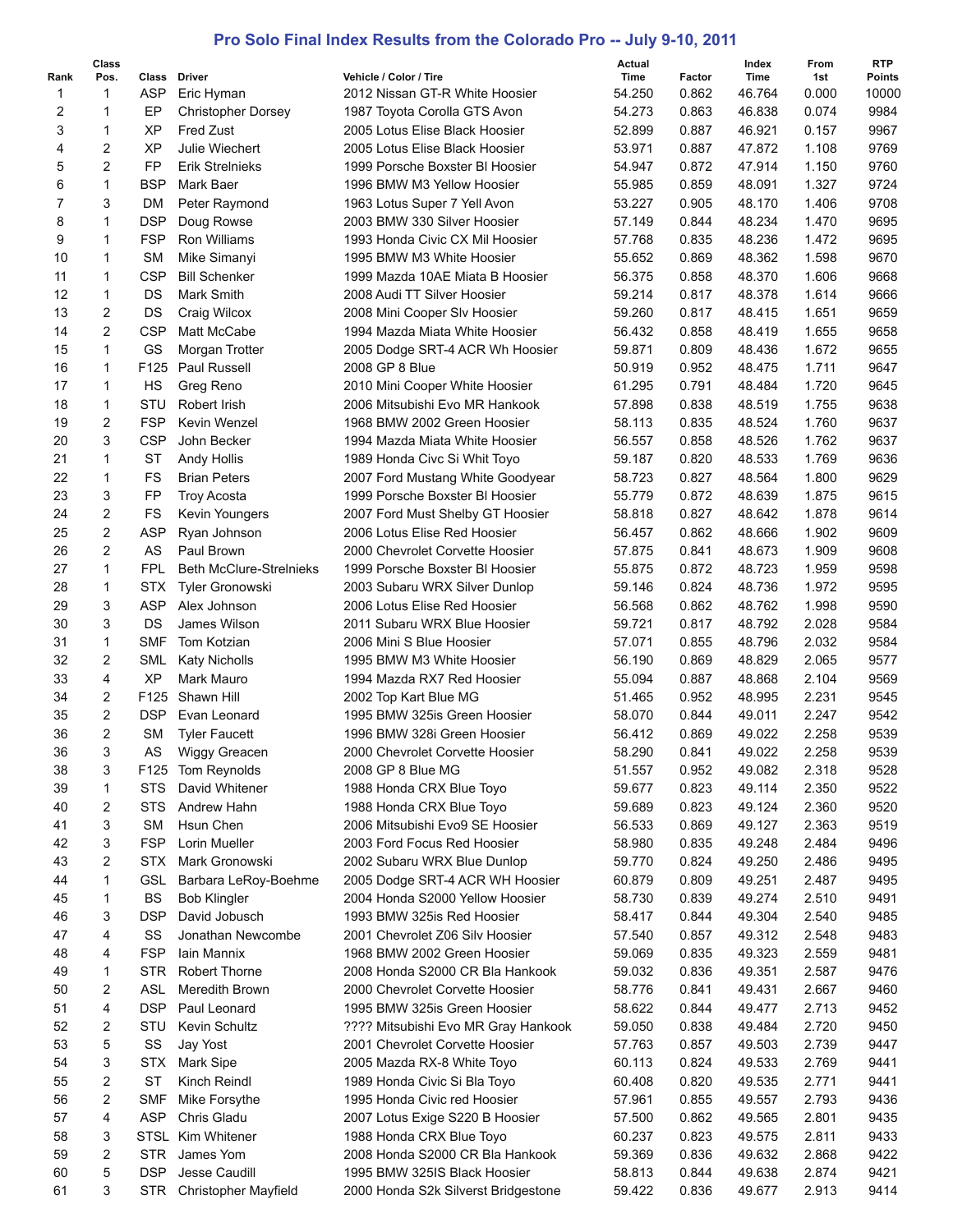## **Pro Solo Final Index Results from the Colorado Pro -- July 9-10, 2011**

|                | Class               |                     |                                    |                                                          | Actual         |                 | Index          | From           | <b>RTP</b>             |
|----------------|---------------------|---------------------|------------------------------------|----------------------------------------------------------|----------------|-----------------|----------------|----------------|------------------------|
| Rank<br>1      | Pos.<br>1           | Class<br><b>ASP</b> | Driver                             | Vehicle / Color / Tire<br>2012 Nissan GT-R White Hoosier | Time<br>54.250 | Factor<br>0.862 | Time<br>46.764 | 1st<br>0.000   | <b>Points</b><br>10000 |
|                | 1                   | EP                  | Eric Hyman                         |                                                          | 54.273         |                 |                |                | 9984                   |
| 2              |                     | XP                  | <b>Christopher Dorsey</b>          | 1987 Toyota Corolla GTS Avon                             |                | 0.863           | 46.838         | 0.074          | 9967                   |
| 3<br>4         | 1<br>$\overline{c}$ | XP                  | <b>Fred Zust</b><br>Julie Wiechert | 2005 Lotus Elise Black Hoosier                           | 52.899         | 0.887           | 46.921         | 0.157          | 9769                   |
|                |                     |                     |                                    | 2005 Lotus Elise Black Hoosier                           | 53.971         | 0.887           | 47.872         | 1.108<br>1.150 |                        |
| 5              | $\overline{c}$      | FP                  | <b>Erik Strelnieks</b>             | 1999 Porsche Boxster BI Hoosier                          | 54.947         | 0.872           | 47.914         |                | 9760                   |
| 6              | 1                   | <b>BSP</b>          | Mark Baer                          | 1996 BMW M3 Yellow Hoosier                               | 55.985         | 0.859           | 48.091         | 1.327          | 9724                   |
| $\overline{7}$ | 3                   | DM                  | Peter Raymond                      | 1963 Lotus Super 7 Yell Avon                             | 53.227         | 0.905           | 48.170         | 1.406          | 9708                   |
| 8              | 1                   | <b>DSP</b>          | Doug Rowse                         | 2003 BMW 330 Silver Hoosier                              | 57.149         | 0.844           | 48.234         | 1.470          | 9695                   |
| 9              | 1                   | <b>FSP</b>          | <b>Ron Williams</b>                | 1993 Honda Civic CX Mil Hoosier                          | 57.768         | 0.835           | 48.236         | 1.472          | 9695                   |
| 10             | 1                   | <b>SM</b>           | Mike Simanyi                       | 1995 BMW M3 White Hoosier                                | 55.652         | 0.869           | 48.362         | 1.598          | 9670                   |
| 11             | 1                   | <b>CSP</b>          | <b>Bill Schenker</b>               | 1999 Mazda 10AE Miata B Hoosier                          | 56.375         | 0.858           | 48.370         | 1.606          | 9668                   |
| 12             | 1                   | DS                  | Mark Smith                         | 2008 Audi TT Silver Hoosier                              | 59.214         | 0.817           | 48.378         | 1.614          | 9666                   |
| 13             | $\overline{c}$      | DS                  | Craig Wilcox                       | 2008 Mini Cooper Slv Hoosier                             | 59.260         | 0.817           | 48.415         | 1.651          | 9659                   |
| 14             | 2                   | <b>CSP</b>          | Matt McCabe                        | 1994 Mazda Miata White Hoosier                           | 56.432         | 0.858           | 48.419         | 1.655          | 9658                   |
| 15             | $\mathbf 1$         | GS                  | Morgan Trotter                     | 2005 Dodge SRT-4 ACR Wh Hoosier                          | 59.871         | 0.809           | 48.436         | 1.672          | 9655                   |
| 16             | 1                   | F125                | Paul Russell                       | 2008 GP 8 Blue                                           | 50.919         | 0.952           | 48.475         | 1.711          | 9647                   |
| 17             | $\mathbf 1$         | HS                  | Greg Reno                          | 2010 Mini Cooper White Hoosier                           | 61.295         | 0.791           | 48.484         | 1.720          | 9645                   |
| 18             | $\mathbf 1$         | STU                 | Robert Irish                       | 2006 Mitsubishi Evo MR Hankook                           | 57.898         | 0.838           | 48.519         | 1.755          | 9638                   |
| 19             | $\overline{c}$      | <b>FSP</b>          | Kevin Wenzel                       | 1968 BMW 2002 Green Hoosier                              | 58.113         | 0.835           | 48.524         | 1.760          | 9637                   |
| 20             | 3                   | <b>CSP</b>          | John Becker                        | 1994 Mazda Miata White Hoosier                           | 56.557         | 0.858           | 48.526         | 1.762          | 9637                   |
| 21             | 1                   | <b>ST</b>           | <b>Andy Hollis</b>                 | 1989 Honda Civc Si Whit Toyo                             | 59.187         | 0.820           | 48.533         | 1.769          | 9636                   |
| 22             | $\mathbf{1}$        | <b>FS</b>           | <b>Brian Peters</b>                | 2007 Ford Mustang White Goodyear                         | 58.723         | 0.827           | 48.564         | 1.800          | 9629                   |
| 23             | 3                   | FP                  | <b>Troy Acosta</b>                 | 1999 Porsche Boxster BI Hoosier                          | 55.779         | 0.872           | 48.639         | 1.875          | 9615                   |
| 24             | $\overline{c}$      | <b>FS</b>           | Kevin Youngers                     | 2007 Ford Must Shelby GT Hoosier                         | 58.818         | 0.827           | 48.642         | 1.878          | 9614                   |
| 25             | $\overline{c}$      | <b>ASP</b>          | Ryan Johnson                       | 2006 Lotus Elise Red Hoosier                             | 56.457         | 0.862           | 48.666         | 1.902          | 9609                   |
| 26             | $\overline{2}$      | AS                  | Paul Brown                         | 2000 Chevrolet Corvette Hoosier                          | 57.875         | 0.841           | 48.673         | 1.909          | 9608                   |
| 27             | 1                   | <b>FPL</b>          | <b>Beth McClure-Strelnieks</b>     | 1999 Porsche Boxster BI Hoosier                          | 55.875         | 0.872           | 48.723         | 1.959          | 9598                   |
| 28             | 1                   | <b>STX</b>          | <b>Tyler Gronowski</b>             | 2003 Subaru WRX Silver Dunlop                            | 59.146         | 0.824           | 48.736         | 1.972          | 9595                   |
| 29             | 3                   | <b>ASP</b>          | Alex Johnson                       | 2006 Lotus Elise Red Hoosier                             | 56.568         | 0.862           | 48.762         | 1.998          | 9590                   |
| 30             | 3                   | DS                  | James Wilson                       | 2011 Subaru WRX Blue Hoosier                             | 59.721         | 0.817           | 48.792         | 2.028          | 9584                   |
| 31             | 1                   | <b>SMF</b>          | Tom Kotzian                        | 2006 Mini S Blue Hoosier                                 | 57.071         | 0.855           | 48.796         | 2.032          | 9584                   |
| 32             | 2                   | SML                 | <b>Katy Nicholls</b>               | 1995 BMW M3 White Hoosier                                | 56.190         | 0.869           | 48.829         | 2.065          | 9577                   |
| 33             | 4                   | XP                  | Mark Mauro                         | 1994 Mazda RX7 Red Hoosier                               | 55.094         | 0.887           | 48.868         | 2.104          | 9569                   |
| 34             | 2                   | F <sub>125</sub>    | Shawn Hill                         | 2002 Top Kart Blue MG                                    | 51.465         | 0.952           | 48.995         | 2.231          | 9545                   |
| 35             | $\overline{c}$      | DSP                 | Evan Leonard                       | 1995 BMW 325is Green Hoosier                             | 58.070         | 0.844           | 49.011         | 2.247          | 9542                   |
| 36             | $\overline{c}$      | <b>SM</b>           | <b>Tyler Faucett</b>               | 1996 BMW 328i Green Hoosier                              | 56.412         | 0.869           | 49.022         | 2.258          | 9539                   |
| 36             | 3                   | AS                  | Wiggy Greacen                      | 2000 Chevrolet Corvette Hoosier                          | 58.290         | 0.841           | 49.022         | 2.258          | 9539                   |
| 38             | 3                   |                     | F125 Tom Reynolds                  | 2008 GP 8 Blue MG                                        | 51.557         | 0.952           | 49.082         | 2.318          | 9528                   |
| 39             | 1                   | <b>STS</b>          | David Whitener                     | 1988 Honda CRX Blue Toyo                                 | 59.677         | 0.823           | 49.114         | 2.350          | 9522                   |
| 40             | 2                   | STS                 | Andrew Hahn                        | 1988 Honda CRX Blue Toyo                                 | 59.689         | 0.823           | 49.124         | 2.360          | 9520                   |
| 41             | 3                   | <b>SM</b>           | Hsun Chen                          | 2006 Mitsubishi Evo9 SE Hoosier                          | 56.533         | 0.869           | 49.127         | 2.363          | 9519                   |
| 42             | 3                   | <b>FSP</b>          | Lorin Mueller                      | 2003 Ford Focus Red Hoosier                              | 58.980         | 0.835           | 49.248         | 2.484          | 9496                   |
| 43             | 2                   | <b>STX</b>          | Mark Gronowski                     | 2002 Subaru WRX Blue Dunlop                              | 59.770         | 0.824           | 49.250         | 2.486          | 9495                   |
| 44             | 1                   | <b>GSL</b>          | Barbara LeRoy-Boehme               | 2005 Dodge SRT-4 ACR WH Hoosier                          | 60.879         | 0.809           | 49.251         | 2.487          | 9495                   |
| 45             | 1                   | BS                  | <b>Bob Klingler</b>                | 2004 Honda S2000 Yellow Hoosier                          | 58.730         | 0.839           | 49.274         | 2.510          | 9491                   |
|                |                     | <b>DSP</b>          |                                    | 1993 BMW 325is Red Hoosier                               |                |                 |                |                |                        |
| 46             | 3                   |                     | David Jobusch                      |                                                          | 58.417         | 0.844           | 49.304         | 2.540          | 9485                   |
| 47             | 4                   | SS                  | Jonathan Newcombe                  | 2001 Chevrolet Z06 Silv Hoosier                          | 57.540         | 0.857           | 49.312         | 2.548          | 9483                   |
| 48             | 4                   | <b>FSP</b>          | Iain Mannix                        | 1968 BMW 2002 Green Hoosier                              | 59.069         | 0.835           | 49.323         | 2.559          | 9481                   |
| 49             | 1                   | <b>STR</b>          | Robert Thorne                      | 2008 Honda S2000 CR Bla Hankook                          | 59.032         | 0.836           | 49.351         | 2.587          | 9476                   |
| 50             | 2                   | ASL                 | Meredith Brown                     | 2000 Chevrolet Corvette Hoosier                          | 58.776         | 0.841           | 49.431         | 2.667          | 9460                   |
| 51             | 4                   | <b>DSP</b>          | Paul Leonard                       | 1995 BMW 325is Green Hoosier                             | 58.622         | 0.844           | 49.477         | 2.713          | 9452                   |
| 52             | 2                   | STU                 | Kevin Schultz                      | ???? Mitsubishi Evo MR Gray Hankook                      | 59.050         | 0.838           | 49.484         | 2.720          | 9450                   |
| 53             | 5                   | SS                  | Jay Yost                           | 2001 Chevrolet Corvette Hoosier                          | 57.763         | 0.857           | 49.503         | 2.739          | 9447                   |
| 54             | 3                   | <b>STX</b>          | Mark Sipe                          | 2005 Mazda RX-8 White Toyo                               | 60.113         | 0.824           | 49.533         | 2.769          | 9441                   |
| 55             | 2                   | <b>ST</b>           | Kinch Reindl                       | 1989 Honda Civic Si Bla Toyo                             | 60.408         | 0.820           | 49.535         | 2.771          | 9441                   |
| 56             | 2                   | <b>SMF</b>          | Mike Forsythe                      | 1995 Honda Civic red Hoosier                             | 57.961         | 0.855           | 49.557         | 2.793          | 9436                   |
| 57             | 4                   | ASP                 | Chris Gladu                        | 2007 Lotus Exige S220 B Hoosier                          | 57.500         | 0.862           | 49.565         | 2.801          | 9435                   |
| 58             | 3                   | STSL                | Kim Whitener                       | 1988 Honda CRX Blue Toyo                                 | 60.237         | 0.823           | 49.575         | 2.811          | 9433                   |
| 59             | 2                   | STR                 | James Yom                          | 2008 Honda S2000 CR Bla Hankook                          | 59.369         | 0.836           | 49.632         | 2.868          | 9422                   |
| 60             | 5                   | DSP                 | Jesse Caudill                      | 1995 BMW 325IS Black Hoosier                             | 58.813         | 0.844           | 49.638         | 2.874          | 9421                   |
| 61             | 3                   | <b>STR</b>          | <b>Christopher Mayfield</b>        | 2000 Honda S2k Silverst Bridgestone                      | 59.422         | 0.836           | 49.677         | 2.913          | 9414                   |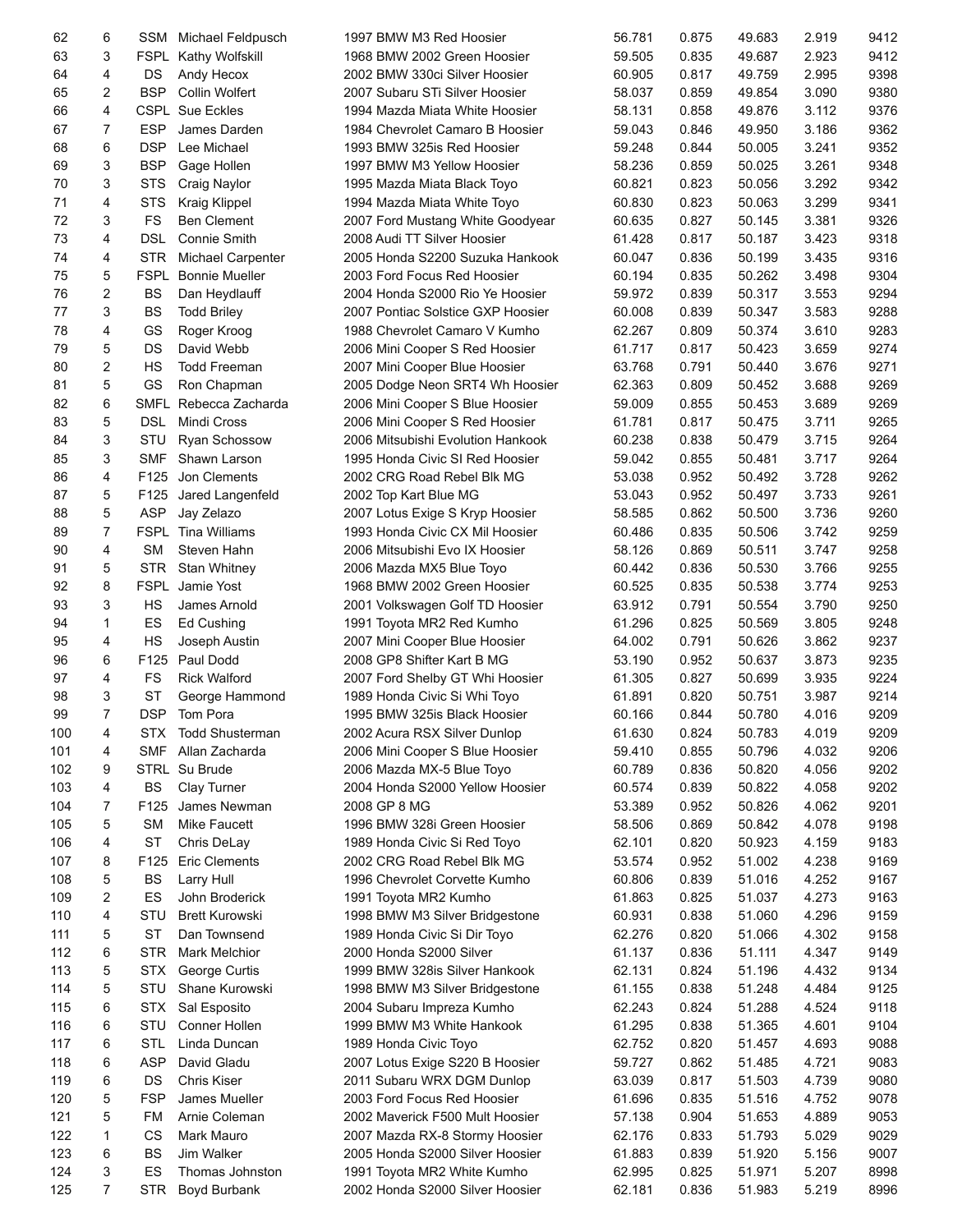| 62  | 6            | SSM                      | Michael Feldpusch        | 1997 BMW M3 Red Hoosier           | 56.781 | 0.875 | 49.683 | 2.919 | 9412 |
|-----|--------------|--------------------------|--------------------------|-----------------------------------|--------|-------|--------|-------|------|
| 63  | 3            |                          | FSPL Kathy Wolfskill     | 1968 BMW 2002 Green Hoosier       | 59.505 | 0.835 | 49.687 | 2.923 | 9412 |
| 64  | 4            | DS                       | Andy Hecox               | 2002 BMW 330ci Silver Hoosier     | 60.905 | 0.817 | 49.759 | 2.995 | 9398 |
| 65  | 2            | <b>BSP</b>               | <b>Collin Wolfert</b>    | 2007 Subaru STi Silver Hoosier    | 58.037 | 0.859 | 49.854 | 3.090 | 9380 |
| 66  | 4            |                          | <b>CSPL Sue Eckles</b>   | 1994 Mazda Miata White Hoosier    | 58.131 | 0.858 | 49.876 | 3.112 | 9376 |
| 67  | 7            | <b>ESP</b>               | James Darden             | 1984 Chevrolet Camaro B Hoosier   | 59.043 | 0.846 | 49.950 | 3.186 | 9362 |
| 68  | 6            | <b>DSP</b>               | Lee Michael              | 1993 BMW 325is Red Hoosier        | 59.248 | 0.844 | 50.005 | 3.241 | 9352 |
| 69  | 3            | <b>BSP</b>               | Gage Hollen              | 1997 BMW M3 Yellow Hoosier        | 58.236 | 0.859 | 50.025 | 3.261 | 9348 |
| 70  | 3            | <b>STS</b>               | Craig Naylor             | 1995 Mazda Miata Black Toyo       | 60.821 | 0.823 | 50.056 | 3.292 | 9342 |
| 71  | 4            | <b>STS</b>               | Kraig Klippel            | 1994 Mazda Miata White Toyo       | 60.830 | 0.823 | 50.063 | 3.299 | 9341 |
| 72  | 3            | <b>FS</b>                | <b>Ben Clement</b>       | 2007 Ford Mustang White Goodyear  | 60.635 | 0.827 | 50.145 | 3.381 | 9326 |
| 73  | 4            | <b>DSL</b>               | <b>Connie Smith</b>      | 2008 Audi TT Silver Hoosier       | 61.428 | 0.817 | 50.187 | 3.423 | 9318 |
| 74  | 4            | <b>STR</b>               | <b>Michael Carpenter</b> | 2005 Honda S2200 Suzuka Hankook   | 60.047 | 0.836 | 50.199 | 3.435 | 9316 |
| 75  | 5            | <b>FSPL</b>              | <b>Bonnie Mueller</b>    | 2003 Ford Focus Red Hoosier       | 60.194 | 0.835 | 50.262 | 3.498 | 9304 |
| 76  | 2            | <b>BS</b>                | Dan Heydlauff            | 2004 Honda S2000 Rio Ye Hoosier   | 59.972 | 0.839 | 50.317 | 3.553 | 9294 |
| 77  | 3            | <b>BS</b>                | <b>Todd Briley</b>       | 2007 Pontiac Solstice GXP Hoosier | 60.008 | 0.839 | 50.347 | 3.583 | 9288 |
| 78  | 4            | GS                       | Roger Kroog              | 1988 Chevrolet Camaro V Kumho     | 62.267 | 0.809 | 50.374 | 3.610 | 9283 |
| 79  | 5            | DS                       | David Webb               | 2006 Mini Cooper S Red Hoosier    | 61.717 | 0.817 | 50.423 | 3.659 | 9274 |
| 80  | 2            | HS                       | <b>Todd Freeman</b>      | 2007 Mini Cooper Blue Hoosier     | 63.768 | 0.791 | 50.440 | 3.676 | 9271 |
| 81  | 5            | GS                       | Ron Chapman              | 2005 Dodge Neon SRT4 Wh Hoosier   | 62.363 | 0.809 | 50.452 | 3.688 | 9269 |
| 82  | 6            | SMFL                     | Rebecca Zacharda         | 2006 Mini Cooper S Blue Hoosier   | 59.009 | 0.855 | 50.453 | 3.689 | 9269 |
| 83  | 5            | <b>DSL</b>               | Mindi Cross              | 2006 Mini Cooper S Red Hoosier    | 61.781 | 0.817 | 50.475 | 3.711 | 9265 |
| 84  | 3            | STU                      | Ryan Schossow            | 2006 Mitsubishi Evolution Hankook | 60.238 | 0.838 | 50.479 | 3.715 | 9264 |
| 85  | 3            | <b>SMF</b>               | Shawn Larson             | 1995 Honda Civic SI Red Hoosier   | 59.042 | 0.855 | 50.481 | 3.717 | 9264 |
| 86  | 4            | F125                     | Jon Clements             |                                   |        | 0.952 | 50.492 | 3.728 | 9262 |
| 87  | 5            | F125                     |                          | 2002 CRG Road Rebel Blk MG        | 53.038 |       |        |       | 9261 |
| 88  | 5            |                          | Jared Langenfeld         | 2002 Top Kart Blue MG             | 53.043 | 0.952 | 50.497 | 3.733 |      |
|     | 7            | <b>ASP</b>               | Jay Zelazo               | 2007 Lotus Exige S Kryp Hoosier   | 58.585 | 0.862 | 50.500 | 3.736 | 9260 |
| 89  | 4            | <b>FSPL</b><br><b>SM</b> | <b>Tina Williams</b>     | 1993 Honda Civic CX Mil Hoosier   | 60.486 | 0.835 | 50.506 | 3.742 | 9259 |
| 90  |              |                          | Steven Hahn              | 2006 Mitsubishi Evo IX Hoosier    | 58.126 | 0.869 | 50.511 | 3.747 | 9258 |
| 91  | 5            | <b>STR</b>               | <b>Stan Whitney</b>      | 2006 Mazda MX5 Blue Toyo          | 60.442 | 0.836 | 50.530 | 3.766 | 9255 |
| 92  | 8            |                          | FSPL Jamie Yost          | 1968 BMW 2002 Green Hoosier       | 60.525 | 0.835 | 50.538 | 3.774 | 9253 |
| 93  | 3            | HS                       | James Arnold             | 2001 Volkswagen Golf TD Hoosier   | 63.912 | 0.791 | 50.554 | 3.790 | 9250 |
| 94  | $\mathbf{1}$ | ES                       | Ed Cushing               | 1991 Toyota MR2 Red Kumho         | 61.296 | 0.825 | 50.569 | 3.805 | 9248 |
| 95  | 4            | HS                       | Joseph Austin            | 2007 Mini Cooper Blue Hoosier     | 64.002 | 0.791 | 50.626 | 3.862 | 9237 |
| 96  | 6            | F125                     | Paul Dodd                | 2008 GP8 Shifter Kart B MG        | 53.190 | 0.952 | 50.637 | 3.873 | 9235 |
| 97  | 4            | FS                       | <b>Rick Walford</b>      | 2007 Ford Shelby GT Whi Hoosier   | 61.305 | 0.827 | 50.699 | 3.935 | 9224 |
| 98  | 3            | <b>ST</b>                | George Hammond           | 1989 Honda Civic Si Whi Toyo      | 61.891 | 0.820 | 50.751 | 3.987 | 9214 |
| 99  | 7            | <b>DSP</b>               | Tom Pora                 | 1995 BMW 325is Black Hoosier      | 60.166 | 0.844 | 50.780 | 4.016 | 9209 |
| 100 | 4            | <b>STX</b>               | <b>Todd Shusterman</b>   | 2002 Acura RSX Silver Dunlop      | 61.630 | 0.824 | 50.783 | 4.019 | 9209 |
| 101 | 4            | <b>SMF</b>               | Allan Zacharda           | 2006 Mini Cooper S Blue Hoosier   | 59.410 | 0.855 | 50.796 | 4.032 | 9206 |
| 102 | 9            |                          | STRL Su Brude            | 2006 Mazda MX-5 Blue Toyo         | 60.789 | 0.836 | 50.820 | 4.056 | 9202 |
| 103 | 4            | BS                       | Clay Turner              | 2004 Honda S2000 Yellow Hoosier   | 60.574 | 0.839 | 50.822 | 4.058 | 9202 |
| 104 | 7            | F125                     | James Newman             | 2008 GP 8 MG                      | 53.389 | 0.952 | 50.826 | 4.062 | 9201 |
| 105 | 5            | <b>SM</b>                | <b>Mike Faucett</b>      | 1996 BMW 328i Green Hoosier       | 58.506 | 0.869 | 50.842 | 4.078 | 9198 |
| 106 | 4            | <b>ST</b>                | Chris DeLay              | 1989 Honda Civic Si Red Toyo      | 62.101 | 0.820 | 50.923 | 4.159 | 9183 |
| 107 | 8            | F125                     | <b>Eric Clements</b>     | 2002 CRG Road Rebel Blk MG        | 53.574 | 0.952 | 51.002 | 4.238 | 9169 |
| 108 | 5            | BS                       | Larry Hull               | 1996 Chevrolet Corvette Kumho     | 60.806 | 0.839 | 51.016 | 4.252 | 9167 |
| 109 | 2            | ES                       | John Broderick           | 1991 Toyota MR2 Kumho             | 61.863 | 0.825 | 51.037 | 4.273 | 9163 |
| 110 | 4            | STU                      | <b>Brett Kurowski</b>    | 1998 BMW M3 Silver Bridgestone    | 60.931 | 0.838 | 51.060 | 4.296 | 9159 |
| 111 | 5            | <b>ST</b>                | Dan Townsend             | 1989 Honda Civic Si Dir Toyo      | 62.276 | 0.820 | 51.066 | 4.302 | 9158 |
| 112 | 6            | <b>STR</b>               | Mark Melchior            | 2000 Honda S2000 Silver           | 61.137 | 0.836 | 51.111 | 4.347 | 9149 |
| 113 | 5            | <b>STX</b>               | George Curtis            | 1999 BMW 328is Silver Hankook     | 62.131 | 0.824 | 51.196 | 4.432 | 9134 |
| 114 | 5            | STU                      | Shane Kurowski           | 1998 BMW M3 Silver Bridgestone    | 61.155 | 0.838 | 51.248 | 4.484 | 9125 |
| 115 | 6            | <b>STX</b>               | Sal Esposito             | 2004 Subaru Impreza Kumho         | 62.243 | 0.824 | 51.288 | 4.524 | 9118 |
| 116 | 6            | STU                      | Conner Hollen            | 1999 BMW M3 White Hankook         | 61.295 | 0.838 | 51.365 | 4.601 | 9104 |
| 117 | 6            | <b>STL</b>               | Linda Duncan             | 1989 Honda Civic Toyo             | 62.752 | 0.820 | 51.457 | 4.693 | 9088 |
| 118 | 6            | <b>ASP</b>               | David Gladu              | 2007 Lotus Exige S220 B Hoosier   | 59.727 | 0.862 | 51.485 | 4.721 | 9083 |
| 119 | 6            | DS                       | <b>Chris Kiser</b>       | 2011 Subaru WRX DGM Dunlop        | 63.039 | 0.817 | 51.503 | 4.739 | 9080 |
| 120 | 5            | <b>FSP</b>               | James Mueller            | 2003 Ford Focus Red Hoosier       | 61.696 | 0.835 | 51.516 | 4.752 | 9078 |
| 121 | 5            | FM                       | Arnie Coleman            | 2002 Maverick F500 Mult Hoosier   | 57.138 | 0.904 | 51.653 | 4.889 | 9053 |
| 122 | 1            | CS                       | Mark Mauro               | 2007 Mazda RX-8 Stormy Hoosier    | 62.176 | 0.833 | 51.793 | 5.029 | 9029 |
| 123 | 6            | BS                       | Jim Walker               | 2005 Honda S2000 Silver Hoosier   | 61.883 | 0.839 | 51.920 | 5.156 | 9007 |
| 124 | 3            | ES                       | Thomas Johnston          | 1991 Toyota MR2 White Kumho       | 62.995 | 0.825 | 51.971 | 5.207 | 8998 |
| 125 | 7            | <b>STR</b>               | Boyd Burbank             | 2002 Honda S2000 Silver Hoosier   | 62.181 | 0.836 | 51.983 | 5.219 | 8996 |